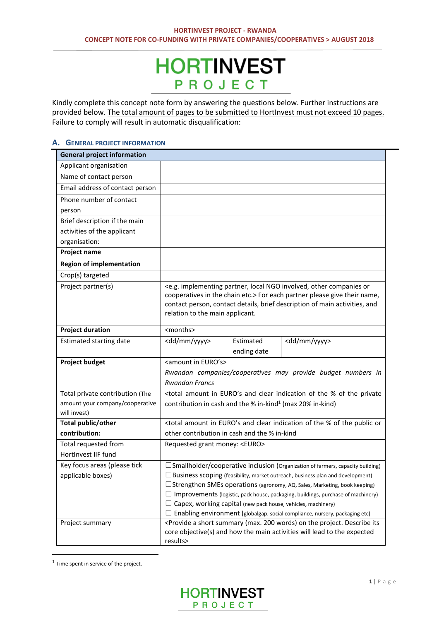# **HORTINVEST** PROJECT

Kindly complete this concept note form by answering the questions below. Further instructions are provided below. The total amount of pages to be submitted to HortInvest must not exceed 10 pages. Failure to comply will result in automatic disqualification:

# **A. GENERAL PROJECT INFORMATION**

| <b>General project information</b>              |                                                                                                             |                          |                                                                                                                                                                                                                                                                 |
|-------------------------------------------------|-------------------------------------------------------------------------------------------------------------|--------------------------|-----------------------------------------------------------------------------------------------------------------------------------------------------------------------------------------------------------------------------------------------------------------|
| Applicant organisation                          |                                                                                                             |                          |                                                                                                                                                                                                                                                                 |
| Name of contact person                          |                                                                                                             |                          |                                                                                                                                                                                                                                                                 |
| Email address of contact person                 |                                                                                                             |                          |                                                                                                                                                                                                                                                                 |
| Phone number of contact                         |                                                                                                             |                          |                                                                                                                                                                                                                                                                 |
| person                                          |                                                                                                             |                          |                                                                                                                                                                                                                                                                 |
| Brief description if the main                   |                                                                                                             |                          |                                                                                                                                                                                                                                                                 |
| activities of the applicant                     |                                                                                                             |                          |                                                                                                                                                                                                                                                                 |
| organisation:                                   |                                                                                                             |                          |                                                                                                                                                                                                                                                                 |
| Project name                                    |                                                                                                             |                          |                                                                                                                                                                                                                                                                 |
| <b>Region of implementation</b>                 |                                                                                                             |                          |                                                                                                                                                                                                                                                                 |
| Crop(s) targeted                                |                                                                                                             |                          |                                                                                                                                                                                                                                                                 |
| Project partner(s)                              | relation to the main applicant.                                                                             |                          | <e.g. companies="" implementing="" involved,="" local="" ngo="" or<br="" other="" partner,="">cooperatives in the chain etc.&gt; For each partner please give their name,<br/>contact person, contact details, brief description of main activities, and</e.g.> |
| <b>Project duration</b>                         | <months></months>                                                                                           |                          |                                                                                                                                                                                                                                                                 |
| <b>Estimated starting date</b>                  | <dd mm="" yyyy=""></dd>                                                                                     | Estimated<br>ending date | <dd mm="" yyyy=""></dd>                                                                                                                                                                                                                                         |
| <b>Project budget</b>                           | <amount euro's="" in=""></amount>                                                                           |                          |                                                                                                                                                                                                                                                                 |
|                                                 |                                                                                                             |                          | Rwandan companies/cooperatives may provide budget numbers in                                                                                                                                                                                                    |
|                                                 | <b>Rwandan Francs</b>                                                                                       |                          |                                                                                                                                                                                                                                                                 |
| Total private contribution (The                 | <total %="" amount="" and="" clear="" euro's="" in="" indication="" of="" private<="" td="" the=""></total> |                          |                                                                                                                                                                                                                                                                 |
| amount your company/cooperative<br>will invest) | contribution in cash and the % in-kind <sup>1</sup> (max 20% in-kind)                                       |                          |                                                                                                                                                                                                                                                                 |
| <b>Total public/other</b>                       |                                                                                                             |                          | <total %="" amount="" and="" clear="" euro's="" in="" indication="" of="" or<="" public="" td="" the=""></total>                                                                                                                                                |
| contribution:                                   | other contribution in cash and the % in-kind                                                                |                          |                                                                                                                                                                                                                                                                 |
| Total requested from                            | Requested grant money: <euro></euro>                                                                        |                          |                                                                                                                                                                                                                                                                 |
| HortInvest IIF fund                             |                                                                                                             |                          |                                                                                                                                                                                                                                                                 |
| Key focus areas (please tick                    |                                                                                                             |                          | $\square$ Smallholder/cooperative inclusion (Organization of farmers, capacity building)                                                                                                                                                                        |
| applicable boxes)                               | $\Box$ Business scoping (feasibility, market outreach, business plan and development)                       |                          |                                                                                                                                                                                                                                                                 |
|                                                 |                                                                                                             |                          | $\Box$ Strengthen SMEs operations (agronomy, AQ, Sales, Marketing, book keeping)                                                                                                                                                                                |
|                                                 | ப                                                                                                           |                          | Improvements (logistic, pack house, packaging, buildings, purchase of machinery)                                                                                                                                                                                |
|                                                 | $\Box$                                                                                                      |                          | Capex, working capital (new pack house, vehicles, machinery)<br>Enabling environment (globalgap, social compliance, nursery, packaging etc)                                                                                                                     |
| Project summary                                 |                                                                                                             |                          | <provide (max.="" 200="" a="" describe="" its<="" on="" project.="" short="" summary="" td="" the="" words)=""></provide>                                                                                                                                       |
|                                                 | results>                                                                                                    |                          | core objective(s) and how the main activities will lead to the expected                                                                                                                                                                                         |
|                                                 |                                                                                                             |                          |                                                                                                                                                                                                                                                                 |

 $1$  Time spent in service of the project.

**.**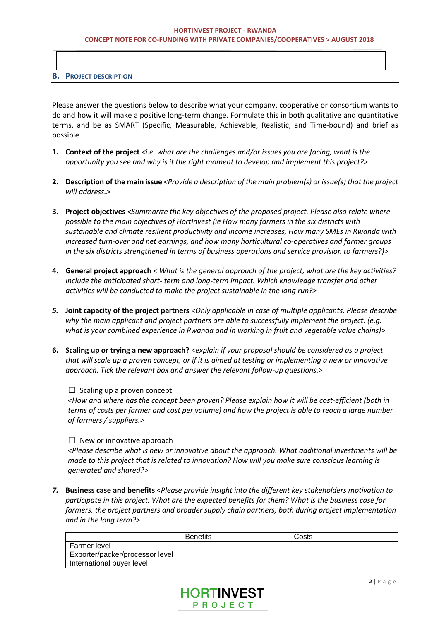#### **HORTINVEST PROJECT - RWANDA CONCEPT NOTE FOR CO-FUNDING WITH PRIVATE COMPANIES/COOPERATIVES > AUGUST 2018**

| <b>B. PROJECT DESCRIPTION</b> |  |
|-------------------------------|--|

Please answer the questions below to describe what your company, cooperative or consortium wants to do and how it will make a positive long-term change. Formulate this in both qualitative and quantitative terms, and be as SMART (Specific, Measurable, Achievable, Realistic, and Time-bound) and brief as possible.

- **1. Context of the project** *<i.e. what are the challenges and/or issues you are facing, what is the opportunity you see and why is it the right moment to develop and implement this project?>*
- **2. Description of the main issue** *<Provide a description of the main problem(s) or issue(s) that the project will address.>*
- **3. Project objectives** *<Summarize the key objectives of the proposed project. Please also relate where possible to the main objectives of HortInvest (ie How many farmers in the six districts with sustainable and climate resilient productivity and income increases, How many SMEs in Rwanda with increased turn-over and net earnings, and how many horticultural co-operatives and farmer groups in the six districts strengthened in terms of business operations and service provision to farmers?)>*
- **4. General project approach** *< What is the general approach of the project, what are the key activities? Include the anticipated short- term and long-term impact. Which knowledge transfer and other activities will be conducted to make the project sustainable in the long run?>*
- *5.* **Joint capacity of the project partners** *<Only applicable in case of multiple applicants. Please describe why the main applicant and project partners are able to successfully implement the project. (e.g. what is your combined experience in Rwanda and in working in fruit and vegetable value chains)>*
- **6. Scaling up or trying a new approach?** *<explain if your proposal should be considered as a project that will scale up a proven concept, or if it is aimed at testing or implementing a new or innovative approach. Tick the relevant box and answer the relevant follow-up questions.>*

## $\Box$  Scaling up a proven concept

*<How and where has the concept been proven? Please explain how it will be cost-efficient (both in terms of costs per farmer and cost per volume) and how the project is able to reach a large number of farmers / suppliers.>*

## $\Box$  New or innovative approach

*<Please describe what is new or innovative about the approach. What additional investments will be made to this project that is related to innovation? How will you make sure conscious learning is generated and shared?>*

*7.* **Business case and benefits** *<Please provide insight into the different key stakeholders motivation to participate in this project. What are the expected benefits for them? What is the business case for farmers, the project partners and broader supply chain partners, both during project implementation and in the long term?>* 

|                                 | <b>Benefits</b> | Costs |
|---------------------------------|-----------------|-------|
| Farmer level                    |                 |       |
| Exporter/packer/processor level |                 |       |
| International buyer level       |                 |       |

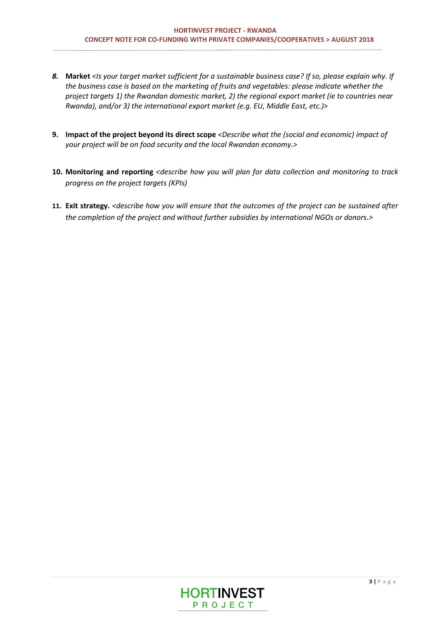- *8.* **Market** *<Is your target market sufficient for a sustainable business case? If so, please explain why. If the business case is based on the marketing of fruits and vegetables: please indicate whether the project targets 1) the Rwandan domestic market, 2) the regional export market (ie to countries near Rwanda), and/or 3) the international export market (e.g. EU, Middle East, etc.)>*
- **9. Impact of the project beyond its direct scope** *<Describe what the (social and economic) impact of your project will be on food security and the local Rwandan economy.>*
- **10. Monitoring and reporting** *<describe how you will plan for data collection and monitoring to track progress on the project targets (KPIs)*
- **11. Exit strategy.** *<describe how you will ensure that the outcomes of the project can be sustained after the completion of the project and without further subsidies by international NGOs or donors.>*

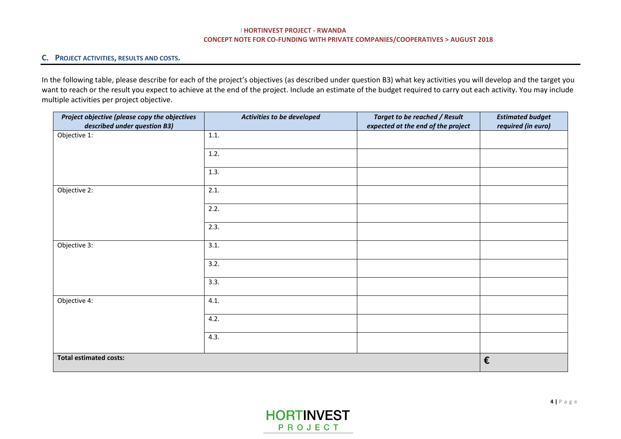#### **I HORTINVEST PROJECT - RWANDA CONCEPT NOTE FOR CO-FUNDING WITH PRIVATE COMPANIES/COOPERATIVES > AUGUST 2018**

## **C. PROJECT ACTIVITIES, RESULTS AND COSTS.**

In the following table, please describe for each of the project's objectives (as described under question B3) what key activities you will develop and the target you want to reach or the result you expect to achieve at the end of the project. Include an estimate of the budget required to carry out each activity. You may include multiple activities per project objective.

| Project objective (please copy the objectives<br>described under question B3) | Activities to be developed | <b>Target to be reached / Result</b><br>expected at the end of the project | <b>Estimated budget</b><br>required (in euro) |
|-------------------------------------------------------------------------------|----------------------------|----------------------------------------------------------------------------|-----------------------------------------------|
| Objective 1:                                                                  | 1.1.                       |                                                                            |                                               |
|                                                                               |                            |                                                                            |                                               |
|                                                                               | 1.2.                       |                                                                            |                                               |
|                                                                               | 1.3.                       |                                                                            |                                               |
| Objective 2:                                                                  | 2.1.                       |                                                                            |                                               |
|                                                                               | 2.2.                       |                                                                            |                                               |
|                                                                               | 2.3.                       |                                                                            |                                               |
| Objective 3:                                                                  | 3.1.                       |                                                                            |                                               |
|                                                                               | 3.2.                       |                                                                            |                                               |
|                                                                               | 3.3.                       |                                                                            |                                               |
| Objective 4:                                                                  | 4.1.                       |                                                                            |                                               |
|                                                                               | 4.2.                       |                                                                            |                                               |
|                                                                               | 4.3.                       |                                                                            |                                               |
| <b>Total estimated costs:</b>                                                 |                            |                                                                            | €                                             |

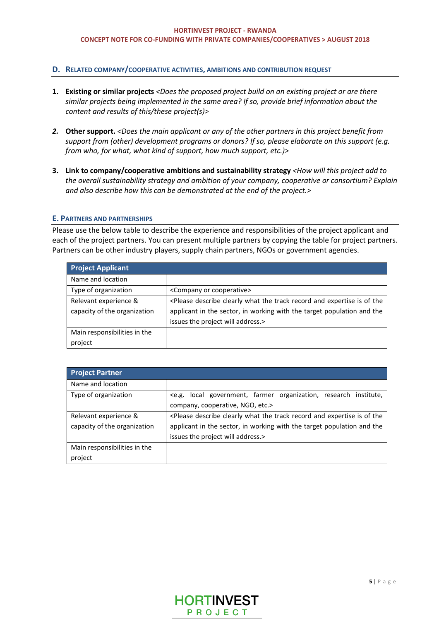## **D. RELATED COMPANY/COOPERATIVE ACTIVITIES, AMBITIONS AND CONTRIBUTION REQUEST**

- **1. Existing or similar projects** *<Does the proposed project build on an existing project or are there similar projects being implemented in the same area? If so, provide brief information about the content and results of this/these project(s)>*
- *2.* **Other support.** *<Does the main applicant or any of the other partners in this project benefit from support from (other) development programs or donors? If so, please elaborate on this support (e.g. from who, for what, what kind of support, how much support, etc.)>*
- **3. Link to company/cooperative ambitions and sustainability strategy** *<How will this project add to the overall sustainability strategy and ambition of your company, cooperative or consortium? Explain and also describe how this can be demonstrated at the end of the project.>*

#### **E. PARTNERS AND PARTNERSHIPS**

Please use the below table to describe the experience and responsibilities of the project applicant and each of the project partners. You can present multiple partners by copying the table for project partners. Partners can be other industry players, supply chain partners, NGOs or government agencies.

| <b>Project Applicant</b>     |                                                                                                                          |
|------------------------------|--------------------------------------------------------------------------------------------------------------------------|
| Name and location            |                                                                                                                          |
| Type of organization         | <company cooperative="" or=""></company>                                                                                 |
| Relevant experience &        | <please and="" clearly="" describe="" expertise="" is="" of="" record="" td="" the="" the<="" track="" what=""></please> |
| capacity of the organization | applicant in the sector, in working with the target population and the                                                   |
|                              | issues the project will address.>                                                                                        |
| Main responsibilities in the |                                                                                                                          |
| project                      |                                                                                                                          |

| <b>Project Partner</b>                                |                                                                                                                                                                                                                                     |
|-------------------------------------------------------|-------------------------------------------------------------------------------------------------------------------------------------------------------------------------------------------------------------------------------------|
| Name and location                                     |                                                                                                                                                                                                                                     |
| Type of organization                                  | <e.g. farmer="" government,="" institute,<br="" local="" organization,="" research="">company, cooperative, NGO, etc.&gt;</e.g.>                                                                                                    |
| Relevant experience &<br>capacity of the organization | <please and="" clearly="" describe="" expertise="" is="" of="" record="" the="" the<br="" track="" what="">applicant in the sector, in working with the target population and the<br/>issues the project will address.&gt;</please> |
| Main responsibilities in the<br>project               |                                                                                                                                                                                                                                     |